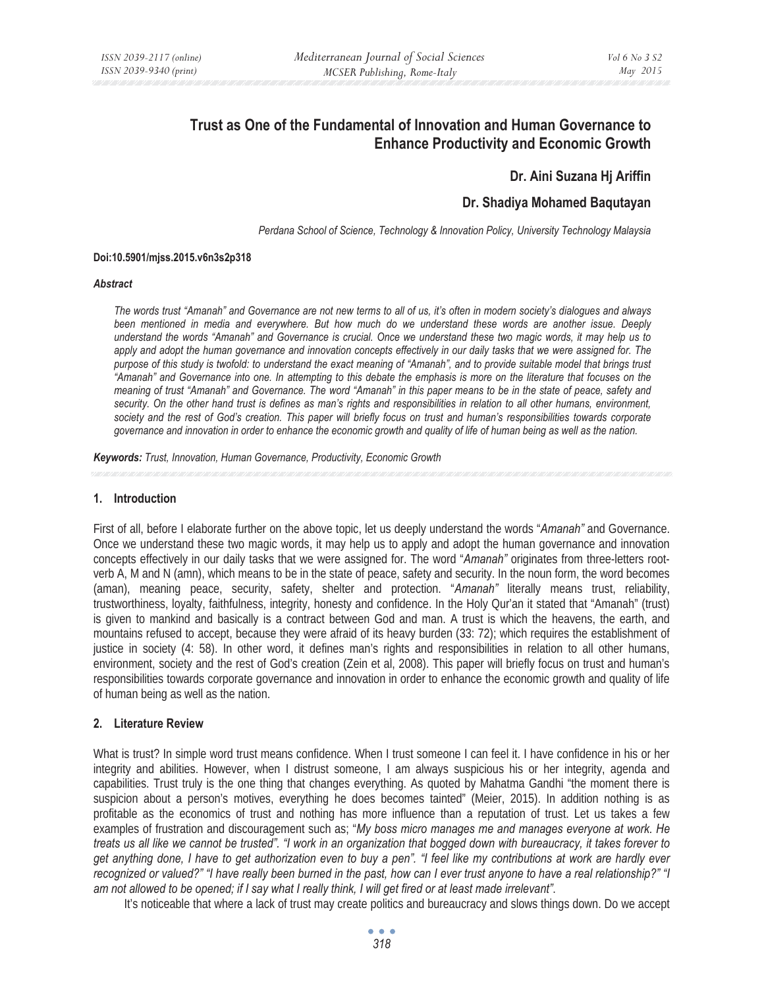# **Trust as One of the Fundamental of Innovation and Human Governance to Enhance Productivity and Economic Growth**

## **Dr. Aini Suzana Hj Ariffin**

# **Dr. Shadiya Mohamed Baqutayan**

*Perdana School of Science, Technology & Innovation Policy, University Technology Malaysia* 

#### **Doi:10.5901/mjss.2015.v6n3s2p318**

#### *Abstract*

*The words trust "Amanah" and Governance are not new terms to all of us, it's often in modern society's dialogues and always been mentioned in media and everywhere. But how much do we understand these words are another issue. Deeply understand the words "Amanah" and Governance is crucial. Once we understand these two magic words, it may help us to*  apply and adopt the human governance and innovation concepts effectively in our daily tasks that we were assigned for. The *purpose of this study is twofold: to understand the exact meaning of "Amanah", and to provide suitable model that brings trust "Amanah" and Governance into one. In attempting to this debate the emphasis is more on the literature that focuses on the meaning of trust "Amanah" and Governance. The word "Amanah" in this paper means to be in the state of peace, safety and security. On the other hand trust is defines as man's rights and responsibilities in relation to all other humans, environment,* society and the rest of God's creation. This paper will briefly focus on trust and human's responsibilities towards corporate *governance and innovation in order to enhance the economic growth and quality of life of human being as well as the nation.* 

*Keywords: Trust, Innovation, Human Governance, Productivity, Economic Growth*

#### **1. Introduction**

First of all, before I elaborate further on the above topic, let us deeply understand the words "*Amanah"* and Governance. Once we understand these two magic words, it may help us to apply and adopt the human governance and innovation concepts effectively in our daily tasks that we were assigned for. The word "*Amanah"* originates from three-letters rootverb A, M and N (amn), which means to be in the state of peace, safety and security. In the noun form, the word becomes (aman), meaning peace, security, safety, shelter and protection. "*Amanah"* literally means trust, reliability, trustworthiness, loyalty, faithfulness, integrity, honesty and confidence. In the Holy Qur'an it stated that "Amanah" (trust) is given to mankind and basically is a contract between God and man. A trust is which the heavens, the earth, and mountains refused to accept, because they were afraid of its heavy burden (33: 72); which requires the establishment of justice in society (4: 58). In other word, it defines man's rights and responsibilities in relation to all other humans, environment, society and the rest of God's creation (Zein et al, 2008). This paper will briefly focus on trust and human's responsibilities towards corporate governance and innovation in order to enhance the economic growth and quality of life of human being as well as the nation.

## **2. Literature Review**

What is trust? In simple word trust means confidence. When I trust someone I can feel it. I have confidence in his or her integrity and abilities. However, when I distrust someone, I am always suspicious his or her integrity, agenda and capabilities. Trust truly is the one thing that changes everything. As quoted by Mahatma Gandhi "the moment there is suspicion about a person's motives, everything he does becomes tainted" (Meier, 2015). In addition nothing is as profitable as the economics of trust and nothing has more influence than a reputation of trust. Let us takes a few examples of frustration and discouragement such as; "*My boss micro manages me and manages everyone at work. He treats us all like we cannot be trusted". "I work in an organization that bogged down with bureaucracy, it takes forever to get anything done, I have to get authorization even to buy a pen". "I feel like my contributions at work are hardly ever recognized or valued?" "I have really been burned in the past, how can I ever trust anyone to have a real relationship?" "I am not allowed to be opened; if I say what I really think, I will get fired or at least made irrelevant"*.

It's noticeable that where a lack of trust may create politics and bureaucracy and slows things down. Do we accept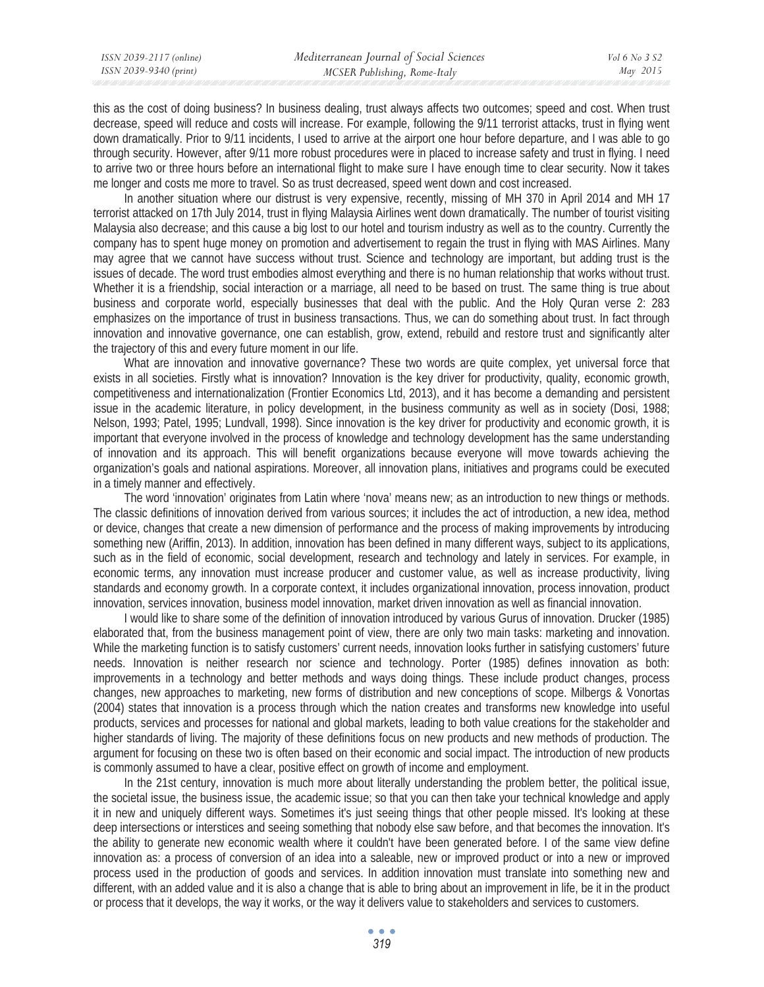| ISSN 2039-2117 (online) | Mediterranean Journal of Social Sciences | Vol 6 No 3 S2 |
|-------------------------|------------------------------------------|---------------|
| ISSN 2039-9340 (print)  | MCSER Publishing, Rome-Italy             | May 2015      |

this as the cost of doing business? In business dealing, trust always affects two outcomes; speed and cost. When trust decrease, speed will reduce and costs will increase. For example, following the 9/11 terrorist attacks, trust in flying went down dramatically. Prior to 9/11 incidents, I used to arrive at the airport one hour before departure, and I was able to go through security. However, after 9/11 more robust procedures were in placed to increase safety and trust in flying. I need to arrive two or three hours before an international flight to make sure I have enough time to clear security. Now it takes me longer and costs me more to travel. So as trust decreased, speed went down and cost increased.

In another situation where our distrust is very expensive, recently, missing of MH 370 in April 2014 and MH 17 terrorist attacked on 17th July 2014, trust in flying Malaysia Airlines went down dramatically. The number of tourist visiting Malaysia also decrease; and this cause a big lost to our hotel and tourism industry as well as to the country. Currently the company has to spent huge money on promotion and advertisement to regain the trust in flying with MAS Airlines. Many may agree that we cannot have success without trust. Science and technology are important, but adding trust is the issues of decade. The word trust embodies almost everything and there is no human relationship that works without trust. Whether it is a friendship, social interaction or a marriage, all need to be based on trust. The same thing is true about business and corporate world, especially businesses that deal with the public. And the Holy Quran verse 2: 283 emphasizes on the importance of trust in business transactions. Thus, we can do something about trust. In fact through innovation and innovative governance, one can establish, grow, extend, rebuild and restore trust and significantly alter the trajectory of this and every future moment in our life.

What are innovation and innovative governance? These two words are quite complex, yet universal force that exists in all societies. Firstly what is innovation? Innovation is the key driver for productivity, quality, economic growth, competitiveness and internationalization (Frontier Economics Ltd, 2013), and it has become a demanding and persistent issue in the academic literature, in policy development, in the business community as well as in society (Dosi, 1988; Nelson, 1993; Patel, 1995; Lundvall, 1998). Since innovation is the key driver for productivity and economic growth, it is important that everyone involved in the process of knowledge and technology development has the same understanding of innovation and its approach. This will benefit organizations because everyone will move towards achieving the organization's goals and national aspirations. Moreover, all innovation plans, initiatives and programs could be executed in a timely manner and effectively.

The word 'innovation' originates from Latin where 'nova' means new; as an introduction to new things or methods. The classic definitions of innovation derived from various sources; it includes the act of introduction, a new idea, method or device, changes that create a new dimension of performance and the process of making improvements by introducing something new (Ariffin, 2013). In addition, innovation has been defined in many different ways, subject to its applications, such as in the field of economic, social development, research and technology and lately in services. For example, in economic terms, any innovation must increase producer and customer value, as well as increase productivity, living standards and economy growth. In a corporate context, it includes organizational innovation, process innovation, product innovation, services innovation, business model innovation, market driven innovation as well as financial innovation.

I would like to share some of the definition of innovation introduced by various Gurus of innovation. Drucker (1985) elaborated that, from the business management point of view, there are only two main tasks: marketing and innovation. While the marketing function is to satisfy customers' current needs, innovation looks further in satisfying customers' future needs. Innovation is neither research nor science and technology. Porter (1985) defines innovation as both: improvements in a technology and better methods and ways doing things. These include product changes, process changes, new approaches to marketing, new forms of distribution and new conceptions of scope. Milbergs & Vonortas (2004) states that innovation is a process through which the nation creates and transforms new knowledge into useful products, services and processes for national and global markets, leading to both value creations for the stakeholder and higher standards of living. The majority of these definitions focus on new products and new methods of production. The argument for focusing on these two is often based on their economic and social impact. The introduction of new products is commonly assumed to have a clear, positive effect on growth of income and employment.

In the 21st century, innovation is much more about literally understanding the problem better, the political issue, the societal issue, the business issue, the academic issue; so that you can then take your technical knowledge and apply it in new and uniquely different ways. Sometimes it's just seeing things that other people missed. It's looking at these deep intersections or interstices and seeing something that nobody else saw before, and that becomes the innovation. It's the ability to generate new economic wealth where it couldn't have been generated before. I of the same view define innovation as: a process of conversion of an idea into a saleable, new or improved product or into a new or improved process used in the production of goods and services. In addition innovation must translate into something new and different, with an added value and it is also a change that is able to bring about an improvement in life, be it in the product or process that it develops, the way it works, or the way it delivers value to stakeholders and services to customers.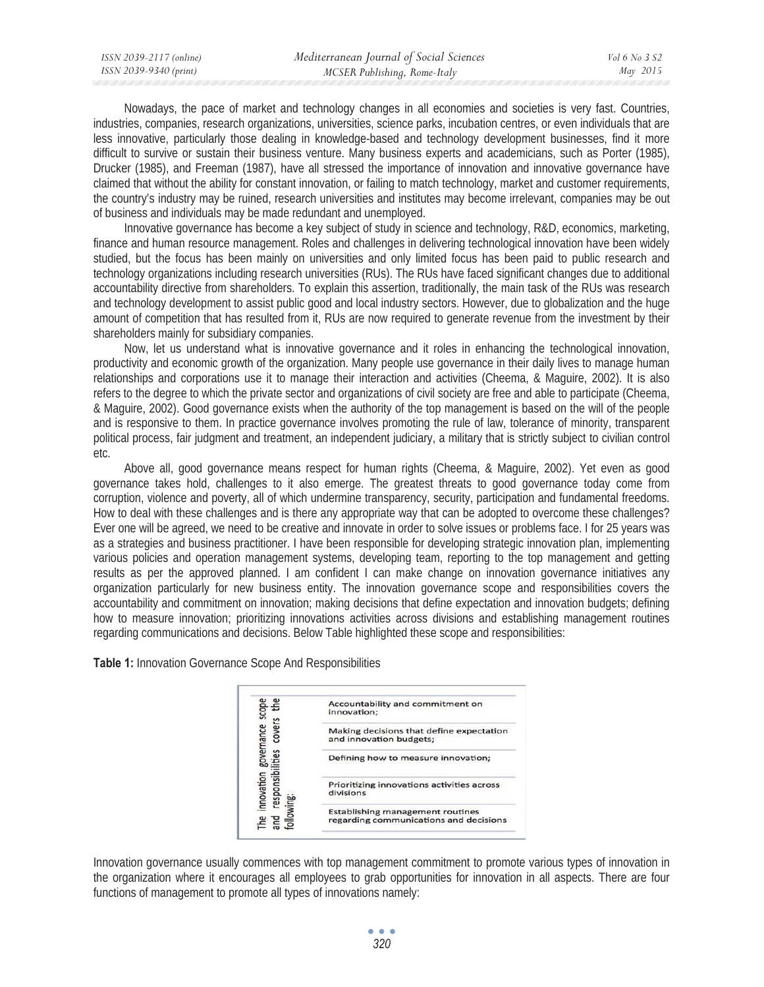| Mediterranean Journal of Social Sciences               |          |
|--------------------------------------------------------|----------|
| ISSN 2039-9340 (print)<br>MCSER Publishing, Rome-Italy | May 2015 |

Nowadays, the pace of market and technology changes in all economies and societies is very fast. Countries, industries, companies, research organizations, universities, science parks, incubation centres, or even individuals that are less innovative, particularly those dealing in knowledge-based and technology development businesses, find it more difficult to survive or sustain their business venture. Many business experts and academicians, such as Porter (1985), Drucker (1985), and Freeman (1987), have all stressed the importance of innovation and innovative governance have claimed that without the ability for constant innovation, or failing to match technology, market and customer requirements, the country's industry may be ruined, research universities and institutes may become irrelevant, companies may be out of business and individuals may be made redundant and unemployed.

Innovative governance has become a key subject of study in science and technology, R&D, economics, marketing, finance and human resource management. Roles and challenges in delivering technological innovation have been widely studied, but the focus has been mainly on universities and only limited focus has been paid to public research and technology organizations including research universities (RUs). The RUs have faced significant changes due to additional accountability directive from shareholders. To explain this assertion, traditionally, the main task of the RUs was research and technology development to assist public good and local industry sectors. However, due to globalization and the huge amount of competition that has resulted from it, RUs are now required to generate revenue from the investment by their shareholders mainly for subsidiary companies.

Now, let us understand what is innovative governance and it roles in enhancing the technological innovation, productivity and economic growth of the organization. Many people use governance in their daily lives to manage human relationships and corporations use it to manage their interaction and activities (Cheema, & Maguire, 2002). It is also refers to the degree to which the private sector and organizations of civil society are free and able to participate (Cheema, & Maguire, 2002). Good governance exists when the authority of the top management is based on the will of the people and is responsive to them. In practice governance involves promoting the rule of law, tolerance of minority, transparent political process, fair judgment and treatment, an independent judiciary, a military that is strictly subject to civilian control etc.

Above all, good governance means respect for human rights (Cheema, & Maguire, 2002). Yet even as good governance takes hold, challenges to it also emerge. The greatest threats to good governance today come from corruption, violence and poverty, all of which undermine transparency, security, participation and fundamental freedoms. How to deal with these challenges and is there any appropriate way that can be adopted to overcome these challenges? Ever one will be agreed, we need to be creative and innovate in order to solve issues or problems face. I for 25 years was as a strategies and business practitioner. I have been responsible for developing strategic innovation plan, implementing various policies and operation management systems, developing team, reporting to the top management and getting results as per the approved planned. I am confident I can make change on innovation governance initiatives any organization particularly for new business entity. The innovation governance scope and responsibilities covers the accountability and commitment on innovation; making decisions that define expectation and innovation budgets; defining how to measure innovation; prioritizing innovations activities across divisions and establishing management routines regarding communications and decisions. Below Table highlighted these scope and responsibilities:

**Table 1:** Innovation Governance Scope And Responsibilities



Innovation governance usually commences with top management commitment to promote various types of innovation in the organization where it encourages all employees to grab opportunities for innovation in all aspects. There are four functions of management to promote all types of innovations namely: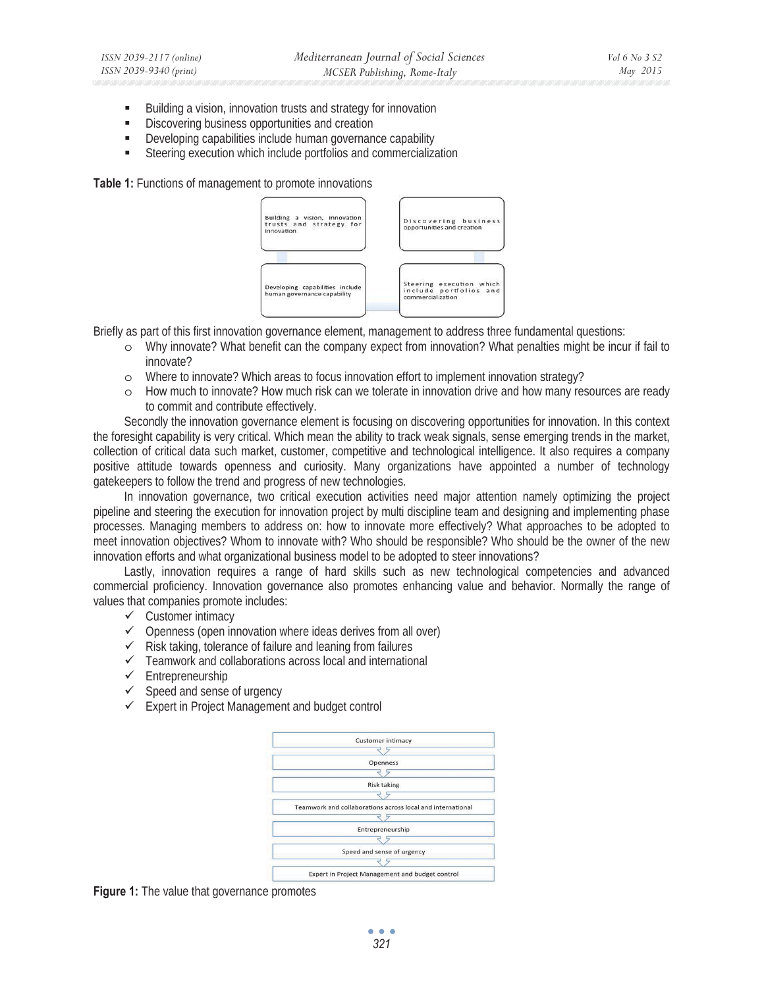- Building a vision, innovation trusts and strategy for innovation
- **EXECUTE:** Discovering business opportunities and creation
- Developing capabilities include human governance capability
- Steering execution which include portfolios and commercialization

**Table 1:** Functions of management to promote innovations



Briefly as part of this first innovation governance element, management to address three fundamental questions:

- o Why innovate? What benefit can the company expect from innovation? What penalties might be incur if fail to innovate?
- o Where to innovate? Which areas to focus innovation effort to implement innovation strategy?
- o How much to innovate? How much risk can we tolerate in innovation drive and how many resources are ready to commit and contribute effectively.

Secondly the innovation governance element is focusing on discovering opportunities for innovation. In this context the foresight capability is very critical. Which mean the ability to track weak signals, sense emerging trends in the market, collection of critical data such market, customer, competitive and technological intelligence. It also requires a company positive attitude towards openness and curiosity. Many organizations have appointed a number of technology gatekeepers to follow the trend and progress of new technologies.

In innovation governance, two critical execution activities need major attention namely optimizing the project pipeline and steering the execution for innovation project by multi discipline team and designing and implementing phase processes. Managing members to address on: how to innovate more effectively? What approaches to be adopted to meet innovation objectives? Whom to innovate with? Who should be responsible? Who should be the owner of the new innovation efforts and what organizational business model to be adopted to steer innovations?

Lastly, innovation requires a range of hard skills such as new technological competencies and advanced commercial proficiency. Innovation governance also promotes enhancing value and behavior. Normally the range of values that companies promote includes:

- $\checkmark$  Customer intimacy
- $\checkmark$  Openness (open innovation where ideas derives from all over)
- $\checkmark$  Risk taking, tolerance of failure and leaning from failures
- $\checkmark$  Teamwork and collaborations across local and international
- $\checkmark$  Entrepreneurship
- $\checkmark$  Speed and sense of urgency
- $\checkmark$  Expert in Project Management and budget control



**Figure 1:** The value that governance promotes